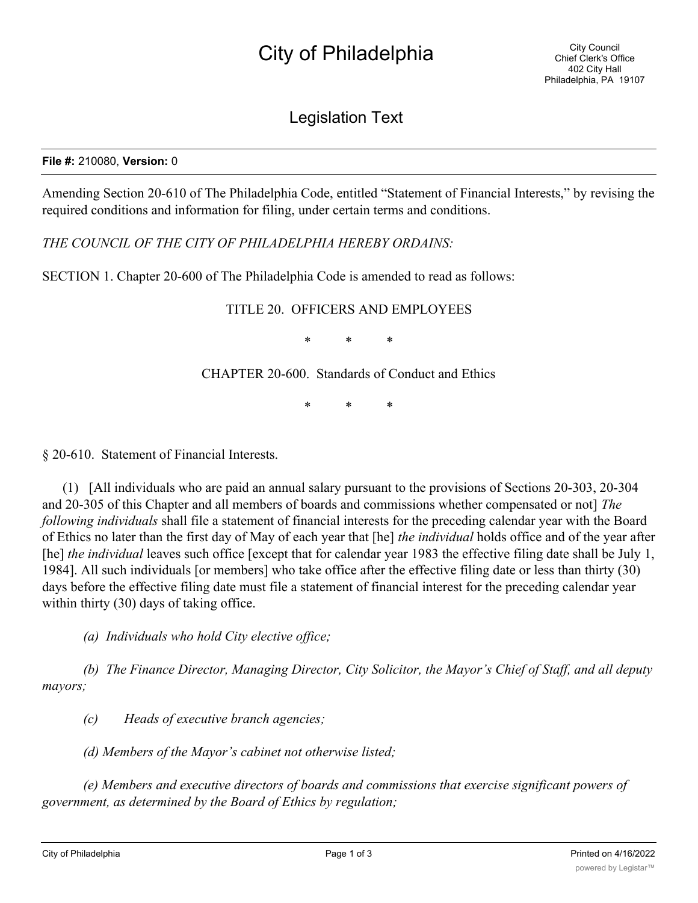## City of Philadelphia

## Legislation Text

## **File #:** 210080, **Version:** 0

Amending Section 20-610 of The Philadelphia Code, entitled "Statement of Financial Interests," by revising the required conditions and information for filing, under certain terms and conditions.

*THE COUNCIL OF THE CITY OF PHILADELPHIA HEREBY ORDAINS:*

SECTION 1. Chapter 20-600 of The Philadelphia Code is amended to read as follows:

## TITLE 20. OFFICERS AND EMPLOYEES

\* \* \*

CHAPTER 20-600. Standards of Conduct and Ethics

\* \* \*

§ 20-610. Statement of Financial Interests.

(1) [All individuals who are paid an annual salary pursuant to the provisions of Sections 20-303, 20-304 and 20-305 of this Chapter and all members of boards and commissions whether compensated or not] *The following individuals* shall file a statement of financial interests for the preceding calendar year with the Board of Ethics no later than the first day of May of each year that [he] *the individual* holds office and of the year after [he] *the individual* leaves such office [except that for calendar year 1983 the effective filing date shall be July 1, 1984]. All such individuals [or members] who take office after the effective filing date or less than thirty (30) days before the effective filing date must file a statement of financial interest for the preceding calendar year within thirty (30) days of taking office.

*(a) Individuals who hold City elective office;*

*(b) The Finance Director, Managing Director, City Solicitor, the Mayor's Chief of Staff, and all deputy mayors;*

*(c) Heads of executive branch agencies;*

*(d) Members of the Mayor's cabinet not otherwise listed;*

*(e) Members and executive directors of boards and commissions that exercise significant powers of government, as determined by the Board of Ethics by regulation;*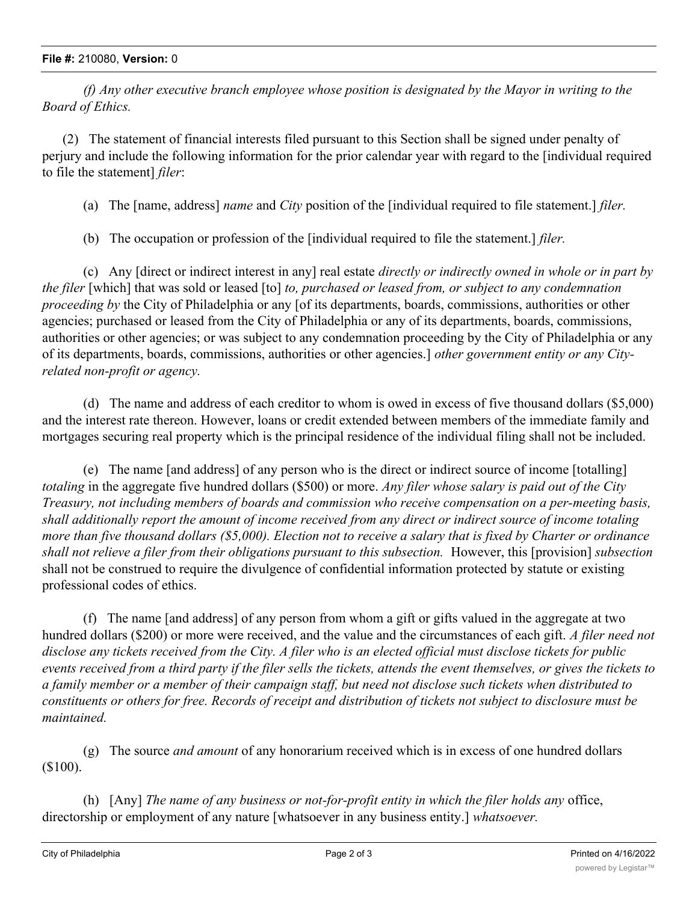*(f) Any other executive branch employee whose position is designated by the Mayor in writing to the Board of Ethics.*

(2) The statement of financial interests filed pursuant to this Section shall be signed under penalty of perjury and include the following information for the prior calendar year with regard to the [individual required to file the statement] *filer*:

(a) The [name, address] *name* and *City* position of the [individual required to file statement.] *filer.*

(b) The occupation or profession of the [individual required to file the statement.] *filer.*

(c) Any [direct or indirect interest in any] real estate *directly or indirectly owned in whole or in part by the filer* [which] that was sold or leased [to] *to, purchased or leased from, or subject to any condemnation proceeding by* the City of Philadelphia or any [of its departments, boards, commissions, authorities or other agencies; purchased or leased from the City of Philadelphia or any of its departments, boards, commissions, authorities or other agencies; or was subject to any condemnation proceeding by the City of Philadelphia or any of its departments, boards, commissions, authorities or other agencies.] *other government entity or any Cityrelated non-profit or agency.*

(d) The name and address of each creditor to whom is owed in excess of five thousand dollars (\$5,000) and the interest rate thereon. However, loans or credit extended between members of the immediate family and mortgages securing real property which is the principal residence of the individual filing shall not be included.

(e) The name [and address] of any person who is the direct or indirect source of income [totalling] *totaling* in the aggregate five hundred dollars (\$500) or more. *Any filer whose salary is paid out of the City Treasury, not including members of boards and commission who receive compensation on a per-meeting basis, shall additionally report the amount of income received from any direct or indirect source of income totaling more than five thousand dollars (\$5,000). Election not to receive a salary that is fixed by Charter or ordinance shall not relieve a filer from their obligations pursuant to this subsection.* However, this [provision] *subsection* shall not be construed to require the divulgence of confidential information protected by statute or existing professional codes of ethics.

(f) The name [and address] of any person from whom a gift or gifts valued in the aggregate at two hundred dollars (\$200) or more were received, and the value and the circumstances of each gift. *A filer need not disclose any tickets received from the City. A filer who is an elected official must disclose tickets for public events received from a third party if the filer sells the tickets, attends the event themselves, or gives the tickets to a family member or a member of their campaign staff, but need not disclose such tickets when distributed to constituents or others for free. Records of receipt and distribution of tickets not subject to disclosure must be maintained.*

(g) The source *and amount* of any honorarium received which is in excess of one hundred dollars (\$100).

(h) [Any] *The name of any business or not-for-profit entity in which the filer holds any* office, directorship or employment of any nature [whatsoever in any business entity.] *whatsoever.*